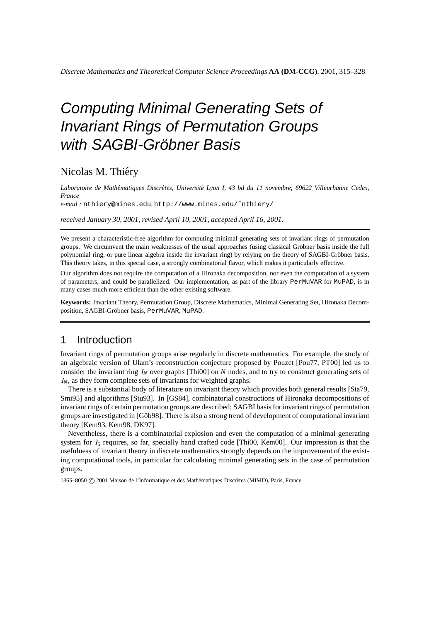# Computing Minimal Generating Sets of Invariant Rings of Permutation Groups with SAGBI-Gröbner Basis

## Nicolas M. Thiéry

Laboratoire de Mathématiques Discrètes, Université Lyon I, 43 bd du 11 novembre, 69622 Villeurbanne Cedex, *France*

*e-mail :* nthiery@mines.edu*,* http://www.mines.edu/˜nthiery/

*received January 30, 2001*, *revised April 10, 2001*, *accepted April 16, 2001*.

We present a characteristic-free algorithm for computing minimal generating sets of invariant rings of permutation groups. We circumvent the main weaknesses of the usual approaches (using classical Gröbner basis inside the full polynomial ring, or pure linear algebra inside the invariant ring) by relying on the theory of SAGBI-Gröbner basis. This theory takes, in this special case, a strongly combinatorial flavor, which makes it particularly effective.

Our algorithm does not require the computation of a Hironaka decomposition, nor even the computation of a system of parameters, and could be parallelized. Our implementation, as part of the library PerMuVAR for MuPAD, is in many cases much more efficient than the other existing software.

**Keywords:** Invariant Theory, Permutation Group, Discrete Mathematics, Minimal Generating Set, Hironaka Decomposition, SAGBI-Gröbner basis, PerMuVAR, MuPAD.

## 1 Introduction

Invariant rings of permutation groups arise regularly in discrete mathematics. For example, the study of an algebraic version of Ulam's reconstruction conjecture proposed by Pouzet [Pou77, PT00] led us to consider the invariant ring *I<sup>N</sup>* over graphs [Thi00] on *N* nodes, and to try to construct generating sets of *IN*, as they form complete sets of invariants for weighted graphs.

There is a substantial body of literature on invariant theory which provides both general results [Sta79, Smi95] and algorithms [Stu93]. In [GS84], combinatorial constructions of Hironaka decompositions of invariant rings of certain permutation groups are described; SAGBI basis for invariant rings of permutation groups are investigated in [Göb98]. There is also a strong trend of development of computational invariant theory [Kem93, Kem98, DK97].

Nevertheless, there is a combinatorial explosion and even the computation of a minimal generating system for *I<sub>5</sub>* requires, so far, specially hand crafted code [Thi00, Kem00]. Our impression is that the usefulness of invariant theory in discrete mathematics strongly depends on the improvement of the existing computational tools, in particular for calculating minimal generating sets in the case of permutation groups.

1365–8050 C 2001 Maison de l'Informatique et des Mathématiques Discrètes (MIMD), Paris, France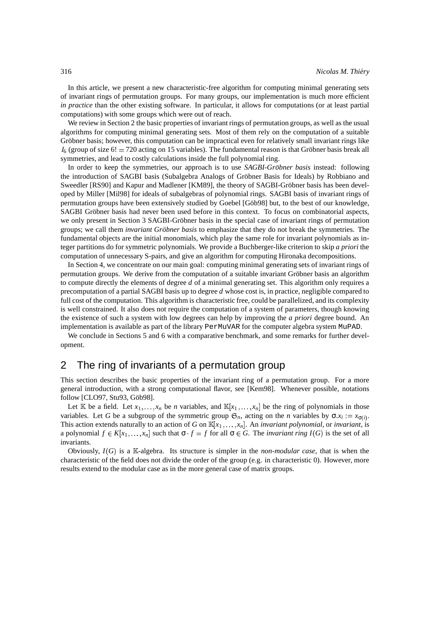In this article, we present a new characteristic-free algorithm for computing minimal generating sets of invariant rings of permutation groups. For many groups, our implementation is much more efficient *in practice* than the other existing software. In particular, it allows for computations (or at least partial computations) with some groups which were out of reach.

We review in Section 2 the basic properties of invariant rings of permutation groups, as well as the usual algorithms for computing minimal generating sets. Most of them rely on the computation of a suitable Gröbner basis; however, this computation can be impractical even for relatively small invariant rings like  $I_6$  (group of size  $6! = 720$  acting on 15 variables). The fundamental reason is that Gröbner basis break all symmetries, and lead to costly calculations inside the full polynomial ring.

In order to keep the symmetries, our approach is to use *SAGBI-Gröbner basis* instead: following the introduction of SAGBI basis (Subalgebra Analogs of Gröbner Basis for Ideals) by Robbiano and Sweedler [RS90] and Kapur and Madlener [KM89], the theory of SAGBI-Gröbner basis has been developed by Miller [Mil98] for ideals of subalgebras of polynomial rings. SAGBI basis of invariant rings of permutation groups have been extensively studied by Goebel [Göb98] but, to the best of our knowledge, SAGBI Gröbner basis had never been used before in this context. To focus on combinatorial aspects, we only present in Section 3 SAGBI-Gröbner basis in the special case of invariant rings of permutation groups; we call them *invariant Gröbner basis* to emphasize that they do not break the symmetries. The fundamental objects are the initial monomials, which play the same role for invariant polynomials as integer partitions do for symmetric polynomials. We provide a Buchberger-like criterion to skip *a priori* the computation of unnecessary S-pairs, and give an algorithm for computing Hironaka decompositions.

In Section 4, we concentrate on our main goal: computing minimal generating sets of invariant rings of permutation groups. We derive from the computation of a suitable invariant Gröbner basis an algorithm to compute directly the elements of degree *d* of a minimal generating set. This algorithm only requires a precomputation of a partial SAGBI basis up to degree *d* whose cost is, in practice, negligible compared to full cost of the computation. This algorithm is characteristic free, could be parallelized, and its complexity is well constrained. It also does not require the computation of a system of parameters, though knowing the existence of such a system with low degrees can help by improving the *a priori* degree bound. An implementation is available as part of the library PerMuVAR for the computer algebra system MuPAD.

We conclude in Sections 5 and 6 with a comparative benchmark, and some remarks for further development.

## 2 The ring of invariants of a permutation group

This section describes the basic properties of the invariant ring of a permutation group. For a more general introduction, with a strong computational flavor, see [Kem98]. Whenever possible, notations follow [CLO97, Stu93, Göb98].

Let  $\mathbb{K}$  be a field. Let  $x_1, \ldots, x_n$  be *n* variables, and  $\mathbb{K}[x_1, \ldots, x_n]$  be the ring of polynomials in those variables. Let *G* be a subgroup of the symmetric group  $\mathfrak{S}_n$ , acting on the *n* variables by  $\sigma x_i := x_{\sigma(i)}$ . This action extends naturally to an action of *G* on  $\mathbb{K}[x_1,\ldots,x_n]$ . An *invariant polynomial*, or *invariant*, is a polynomial  $f \in K[x_1, \ldots, x_n]$  such that  $\sigma \cdot f = f$  for all  $\sigma \in G$ . The *invariant ring*  $I(G)$  is the set of all invariants.

Obviously,  $I(G)$  is a K-algebra. Its structure is simpler in the *non-modular case*, that is when the characteristic of the field does not divide the order of the group (e.g. in characteristic 0). However, more results extend to the modular case as in the more general case of matrix groups.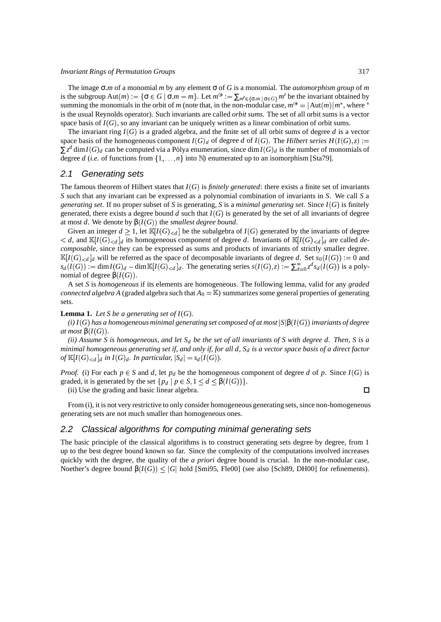#### *Invariant Rings of Permutation Groups* 317

The image σ *m* of a monomial *m* by any element σ of *G* is a monomial. The *automorphism group* of *m* is the subgroup  $\text{Aut}(m) := \{ \sigma \in G \mid \sigma.m = m \}$ . Let  $m^{\circledast} := \sum_{m' \in \{\sigma.m \mid \sigma \in G\}} m'$  be the invariant obtained by summing the monomials in the orbit of *m* (note that, in the non-modular case,  $m^{\circledast} = |\text{Aut}(m)| m^*$ , where  $^*$ is the usual Reynolds operator). Such invariants are called *orbit sums*. The set of all orbit sums is a vector space basis of  $I(G)$ , so any invariant can be uniquely written as a linear combination of orbit sums.

The invariant ring  $I(G)$  is a graded algebra, and the finite set of all orbit sums of degree d is a vector space basis of the homogeneous component  $I(G)_d$  of degree *d* of  $I(G)$ . The *Hilbert series*  $H(I(G), z) := z$  $\sum z^d \dim I(G)_d$  can be computed via a Pólya enumeration, since  $\dim I(G)_d$  is the number of monomials of degree *d* (*i.e.* of functions from  $\{1, \ldots, n\}$  into N) enumerated up to an isomorphism [Sta79].

#### 2.1 Generating sets

The famous theorem of Hilbert states that  $I(G)$  is *finitely generated*: there exists a finite set of invariants *S* such that any invariant can be expressed as a polynomial combination of invariants in *S*. We call *S* a *generating set.* If no proper subset of *S* is generating, *S* is a *minimal generating set*. Since  $I(G)$  is finitely generated, there exists a degree bound  $d$  such that  $I(G)$  is generated by the set of all invariants of degree at most *d*. We denote by  $\beta(I(G))$  the *smallest degree bound*.

Given an integer  $d \geq 1$ , let  $\mathbb{K}[I(G)_{< d}]$  be the subalgebra of  $I(G)$  generated by the invariants of degree  $d$ , and  $\mathbb{K}[I(G)_{< d}]_d$  its homogeneous component of degree *d*. Invariants of  $\mathbb{K}[I(G)_{< d}]_d$  are called *decomposable*, since they can be expressed as sums and products of invariants of strictly smaller degree.  $\mathbb{K}[I(G)_{< d}]_d$  will be referred as the space of decomposable invariants of degree *d*. Set  $s_0(I(G)) := 0$  and  $s_d(I(G)) := \dim I(G)_d - \dim \mathbb{K}[I(G)_{< d}]_d$ . The generating series  $s(I(G), z) := \sum_{d=0}^{\infty} z^d s_d(I(G))$  is a polynomial of degree  $\beta(I(G))$ .

A set *S* is *homogeneous* if its elements are homogeneous. The following lemma, valid for any *graded connected algebra A* (graded algebra such that  $A_0 = \mathbb{K}$ ) summarizes some general properties of generating sets.

#### **Lemma 1.** Let *S* be a generating set of  $I(G)$ .

(i) I(G) has a homogeneous minimal generating set composed of at most  $|\mathrm{S}|\beta(I(G))$  invariants of degree  $at most \beta(I(G)).$ 

(ii) Assume S is homogeneous, and let  $S_d$  be the set of all invariants of S with degree d. Then, S is a minimal homogeneous generating set if, and only if, for all d,  $S_d$  is a vector space basis of a direct factor *of*  $\mathbb{K}[I(G)_{< d}]_d$  in  $I(G)_d$ . In particular,  $|S_d| = s_d(I(G))$ .

*Proof.* (i) For each  $p \in S$  and *d*, let  $p_d$  be the homogeneous component of degree *d* of *p*. Since  $I(G)$  is graded, it is generated by the set  $\{p_d \mid p \in S, 1 \le d \le \beta(I(G))\}.$ 

(ii) Use the grading and basic linear algebra.

 $\Box$ 

From (i), it is not very restrictive to only consider homogeneous generating sets, since non-homogeneous generating sets are not much smaller than homogeneous ones.

#### 2.2 Classical algorithms for computing minimal generating sets

The basic principle of the classical algorithms is to construct generating sets degree by degree, from 1 up to the best degree bound known so far. Since the complexity of the computations involved increases quickly with the degree, the quality of the *a priori* degree bound is crucial. In the non-modular case, Noether's degree bound  $\beta(I(G)) \leq |G|$  hold [Smi95, Fle00] (see also [Sch89, DH00] for refinements).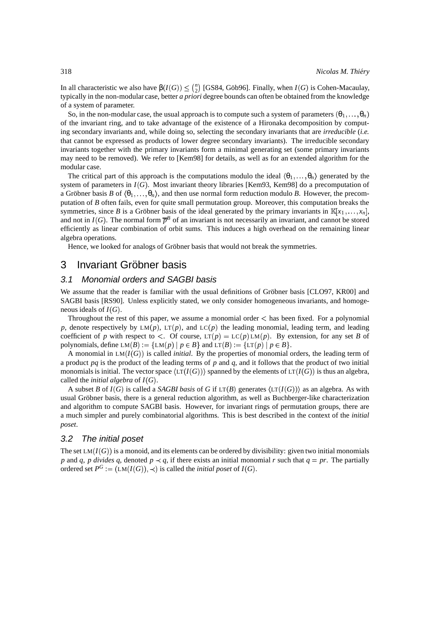In all characteristic we also have  $\beta(I(G)) \leq {n \choose 2}$  [GS84, Göb96]. Finally, when *I*(*G*) is Cohen-Macaulay, typically in the non-modular case, better *a priori* degree bounds can often be obtained from the knowledge of a system of parameter.

So, in the non-modular case, the usual approach is to compute such a system of parameters  $(\theta_1,\ldots,\theta_n)$ of the invariant ring, and to take advantage of the existence of a Hironaka decomposition by computing secondary invariants and, while doing so, selecting the secondary invariants that are *irreducible* (*i.e.* that cannot be expressed as products of lower degree secondary invariants). The irreducible secondary invariants together with the primary invariants form a minimal generating set (some primary invariants may need to be removed). We refer to [Kem98] for details, as well as for an extended algorithm for the modular case.

The critical part of this approach is the computations modulo the ideal  $(\theta_1, \ldots, \theta_n)$  generated by the system of parameters in  $I(G)$ . Most invariant theory libraries [Kem93, Kem98] do a precomputation of a Gröbner basis *B* of  $\langle \theta_1, \ldots, \theta_n \rangle$ , and then use normal form reduction modulo *B*. However, the precomputation of *B* often fails, even for quite small permutation group. Moreover, this computation breaks the symmetries, since *B* is a Gröbner basis of the ideal generated by the primary invariants in  $\mathbb{K}[x_1, \ldots, x_n]$ , and not in  $I(G)$ . The normal form  $\overline{p}^B$  of an invariant is not necessarily an invariant, and cannot be stored efficiently as linear combination of orbit sums. This induces a high overhead on the remaining linear algebra operations.

Hence, we looked for analogs of Gröbner basis that would not break the symmetries.

## 3 Invariant Gröbner basis

### 3.1 Monomial orders and SAGBI basis

We assume that the reader is familiar with the usual definitions of Gröbner basis [CLO97, KR00] and SAGBI basis [RS90]. Unless explicitly stated, we only consider homogeneous invariants, and homogeneous ideals of  $I(G)$ .

Throughout the rest of this paper, we assume a monomial order < has been fixed. For a polynomial *p*, denote respectively by  $LM(p)$ ,  $LT(p)$ , and  $LC(p)$  the leading monomial, leading term, and leading coefficient of *p* with respect to  $\lt$ . Of course, LT(*p*) = LC(*p*) LM(*p*). By extension, for any set *B* of polynomials, define  $LM(B) := \{LM(p) | p \in B\}$  and  $LT(B) := \{LT(p) | p \in B\}$ .

A monomial in  $LM(I(G))$  is called *initial*. By the properties of monomial orders, the leading term of a product *pq* is the product of the leading terms of *p* and *q*, and it follows that the product of two initial monomials is initial. The vector space  $\langle LT(I(G))\rangle$  spanned by the elements of  $LT(I(G))$  is thus an algebra, called the *initial* algebra of  $I(G)$ .

A subset *B* of  $I(G)$  is called a *SAGBI basis* of *G* if  $LT(B)$  generates  $\langle LT(I(G)) \rangle$  as an algebra. As with usual Gröbner basis, there is a general reduction algorithm, as well as Buchberger-like characterization and algorithm to compute SAGBI basis. However, for invariant rings of permutation groups, there are a much simpler and purely combinatorial algorithms. This is best described in the context of the *initial poset*.

#### 3.2 The initial poset

The set  $LM(I(G))$  is a monoid, and its elements can be ordered by divisibility: given two initial monomials *p* and *q*, *p divides q*, denoted  $p \prec q$ , if there exists an initial monomial *r* such that  $q = pr$ . The partially ordered set  $P^G := (LM(I(G)), \prec)$  is called the *initial poset* of  $I(G)$ .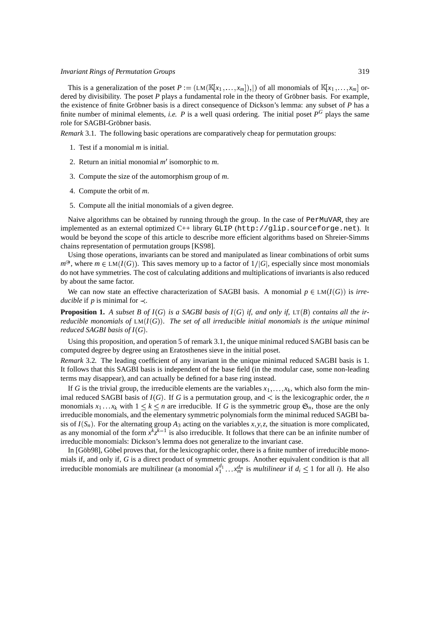#### *Invariant Rings of Permutation Groups* 319

This is a generalization of the poset  $P := (LM(\mathbb{K}[x_1,\ldots,x_m]),|)$  of all monomials of  $\mathbb{K}[x_1,\ldots,x_m]$  ordered by divisibility. The poset  $P$  plays a fundamental role in the theory of Gröbner basis. For example, the existence of finite Gröbner basis is a direct consequence of Dickson's lemma: any subset of  $P$  has a finite number of minimal elements, *i.e.*  $P$  is a well quasi ordering. The initial poset  $P^G$  plays the same role for SAGBI-Gröbner basis.

*Remark* 3.1*.* The following basic operations are comparatively cheap for permutation groups:

- 1. Test if a monomial *m* is initial.
- 2. Return an initial monomial *m* isomorphic to *m*.
- 3. Compute the size of the automorphism group of *m*.
- 4. Compute the orbit of *m*.
- 5. Compute all the initial monomials of a given degree.

Naive algorithms can be obtained by running through the group. In the case of PerMuVAR, they are implemented as an external optimized C++ library GLIP (http://glip.sourceforge.net). It would be beyond the scope of this article to describe more efficient algorithms based on Shreier-Simms chains representation of permutation groups [KS98].

Using those operations, invariants can be stored and manipulated as linear combinations of orbit sums  $m^{\circledast}$ , where  $m \in LM(I(G))$ . This saves memory up to a factor of  $1/|G|$ , especially since most monomials do not have symmetries. The cost of calculating additions and multiplications of invariants is also reduced by about the same factor.

We can now state an effective characterization of SAGBI basis. A monomial  $p \in LM(I(G))$  is *irreducible* if *p* is minimal for  $\prec$ .

**Proposition 1.** A subset B of  $I(G)$  is a SAGBI basis of  $I(G)$  if, and only if,  $LT(B)$  contains all the ir*reducible* monomials of  $LM(I(G))$ . The set of all irreducible initial monomials is the unique minimal *reduced SAGBI basis of*  $I(G)$ *.* 

Using this proposition, and operation 5 of remark 3.1, the unique minimal reduced SAGBI basis can be computed degree by degree using an Eratosthenes sieve in the initial poset.

*Remark* 3.2*.* The leading coefficient of any invariant in the unique minimal reduced SAGBI basis is 1. It follows that this SAGBI basis is independent of the base field (in the modular case, some non-leading terms may disappear), and can actually be defined for a base ring instead.

If G is the trivial group, the irreducible elements are the variables  $x_1, \ldots, x_k$ , which also form the minimal reduced SAGBI basis of  $I(G)$ . If G is a permutation group, and  $\lt$  is the lexicographic order, the *n* monomials  $x_1 \dots x_k$  with  $1 \leq k \leq n$  are irreducible. If G is the symmetric group  $\mathfrak{S}_n$ , those are the only irreducible monomials, and the elementary symmetric polynomials form the minimal reduced SAGBI basis of  $I(S_n)$ . For the alternating group  $A_3$  acting on the variables  $x, y, z$ , the situation is more complicated, as any monomial of the form  $x^k z^{k-1}$  is also irreducible. It follows that there can be an infinite number of irreducible monomials: Dickson's lemma does not generalize to the invariant case.

In [Göb98], Göbel proves that, for the lexicographic order, there is a finite number of irreducible monomials if, and only if, *G* is a direct product of symmetric groups. Another equivalent condition is that all irreducible monomials are multilinear (a monomial  $x_1^{d_1} \ldots x_m^{d_m}$  is *multilinear* if  $d_i \leq 1$  for all *i*). He also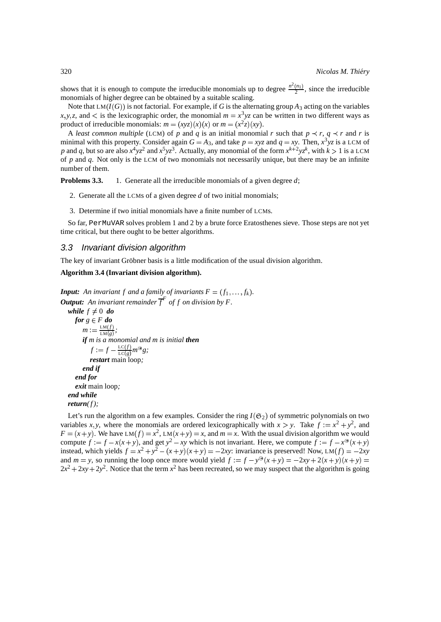shows that it is enough to compute the irreducible monomials up to degree  $\frac{n^2(n_1)}{2}$ , since the irreducible monomials of higher degree can be obtained by a suitable scaling.

Note that  $LM(I(G))$  is not factorial. For example, if *G* is the alternating group  $A_3$  acting on the variables  $x, y, z$ , and  $\lt$  is the lexicographic order, the monomial  $m = x^3yz$  can be written in two different ways as product of irreducible monomials:  $m = (xyz)(x)(x)$  or  $m = (x^2z)(xy)$ .

A *least common multiple* (LCM) of *p* and *q* is an initial monomial *r* such that  $p \prec r$ ,  $q \prec r$  and *r* is minimal with this property. Consider again  $G = A_3$ , and take  $p = xyz$  and  $q = xy$ . Then,  $x^3yz$  is a LCM of p and q, but so are also  $x^4yz^2$  and  $x^5yz^3$ . Actually, any monomial of the form  $x^{k+2}yz^k$ , with  $k > 1$  is a LCM of *p* and *q*. Not only is the LCM of two monomials not necessarily unique, but there may be an infinite number of them.

**Problems 3.3.** 1. Generate all the irreducible monomials of a given degree d;

- 2. Generate all the LCMs of a given degree *d* of two initial monomials;
- 3. Determine if two initial monomials have a finite number of LCMs.

So far, PerMuVAR solves problem 1 and 2 by a brute force Eratosthenes sieve. Those steps are not yet time critical, but there ought to be better algorithms.

#### 3.3 Invariant division algorithm

The key of invariant Gröbner basis is a little modification of the usual division algorithm.

#### **Algorithm 3.4 (Invariant division algorithm).**

```
Input: An invariant f and a family of invariants F = (f_1, \ldots, f_k).
Output: An invariant remainder f
F
of f on division by F.
   while f \neq 0 do
     for g \in F do
         m := \frac{\text{LM}(f)}{\text{LM}(g)};
         LM  g 
if m is a monomial and m is initial then
             f := f - \frac{\text{LC}(f)}{\text{LC}(g)} m^{\odot} g;\frac{\text{LC}(f)}{\text{LC}(g)} m^{\textcircled{g}} g;restart main loop;
         end if
      end for
      exit main loop;
  end while
  return(f);
```
Let's run the algorithm on a few examples. Consider the ring  $I(\mathfrak{S}_2)$  of symmetric polynomials on two variables *x*, *y*, where the monomials are ordered lexicographically with  $x > y$ . Take  $f := x^2 + y^2$ , and  $F = (x + y)$ . We have LM $(f) = x^2$ , LM $(x + y) = x$ , and  $m = x$ . With the usual division algorithm we would compute  $f := f - x(x + y)$ , and get  $y^2 - xy$  which is not invariant. Here, we compute  $f := f - x^{(3)}(x + y)$ instead, which yields  $f = x^2 + y^2 - (x + y)(x + y) = -2xy$ : invariance is preserved! Now, LM $(f) = -2xy$ and  $m = y$ , so running the loop once more would yield  $f := f - y^{\circledast}(x + y) = -2xy + 2(x + y)(x + y) =$  $2x^2 + 2xy + 2y^2$ . Notice that the term  $x^2$  has been recreated, so we may suspect that the algorithm is going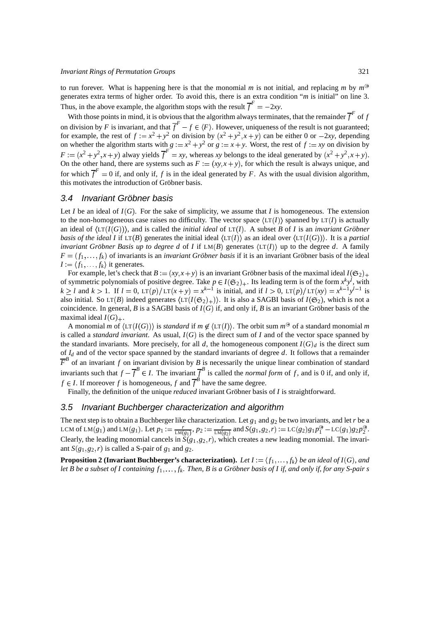to run forever. What is happening here is that the monomial *m* is not initial, and replacing *m* by  $m^{\circledast}$ generates extra terms of higher order. To avoid this, there is an extra condition "*m* is initial" on line 3. Thus, in the above example, the algorithm stops with the result  $\overline{f}^F = -2xy$ .

With those points in mind, it is obvious that the algorithm always terminates, that the remainder  $\overline{f}^F$  of  $f$ on division by *F* is invariant, and that  $\overline{f}^F - f \in \langle F \rangle$ . However, uniqueness of the result is not guaranteed; for example, the rest of  $f := x^2 + y^2$  on division by  $(x^2 + y^2, x + y)$  can be either 0 or  $-2xy$ , depending on whether the algorithm starts with  $g := x^2 + y^2$  or  $g := x + y$ . Worst, the rest of  $f := xy$  on division by  $F := (x^2 + y^2, x + y)$  alway yields  $\overline{f}^F = xy$ , whereas *xy* belongs to the ideal generated by  $(x^2 + y^2, x + y)$ . On the other hand, there are systems such as  $F := (xy, x + y)$ , for which the result is always unique, and for which  $\overline{f}^F = 0$  if, and only if, f is in the ideal generated by F. As with the usual division algorithm, this motivates the introduction of Gröbner basis.

#### 3.4 Invariant Gröbner basis

Let *I* be an ideal of  $I(G)$ . For the sake of simplicity, we assume that *I* is homogeneous. The extension to the non-homogeneous case raises no difficulty. The vector space  $\langle \text{LT}(I) \rangle$  spanned by  $\text{LT}(I)$  is actually an ideal of  $\langle \text{LT}(I(G)) \rangle$ , and is called the *initial ideal* of  $\text{LT}(I)$ . A subset *B* of *I* is an *invariant Gröbner basis of the ideal I* if  $LT(B)$  generates the initial ideal  $\langle LT(I) \rangle$  as an ideal over  $\langle LT(I(G)) \rangle$ . It is a *partial invariant Gröbner Basis up to degree d* of *I* if  $LM(B)$  generates  $\langle LT(I) \rangle$  up to the degree *d*. A family  $F = (f_1, \ldots, f_k)$  of invariants is an *invariant Gröbner basis* if it is an invariant Gröbner basis of the ideal  $I := \langle f_1, \ldots, f_k \rangle$  it generates.

For example, let's check that  $B := (xy, x + y)$  is an invariant Gröbner basis of the maximal ideal  $I(\mathfrak{S}_2)_+$ of symmetric polynomials of positive degree. Take  $p \in I(\mathfrak{S}_2)_+$ . Its leading term is of the form  $x^k y^l$ , with  $k \ge l$  and  $k > 1$ . If  $l = 0$ ,  $\text{LT}(p)/\text{LT}(x+y) = x^{k-1}$  is initial, and if  $l > 0$ ,  $\text{LT}(p)/\text{LT}(xy) = x^{k-1}y^{l-1}$  is also initial. So  $LT(B)$  indeed generates  $\langle LT(I(\mathfrak{S}_2)_+) \rangle$ . It is also a SAGBI basis of  $I(\mathfrak{S}_2)$ , which is not a coincidence. In general, *B* is a SAGBI basis of  $I(G)$  if, and only if, *B* is an invariant Gröbner basis of the maximal ideal  $I(G)_+$ .

A monomial *m* of  $\langle \text{LT}(I(G)) \rangle$  is *standard* if  $m \notin \langle \text{LT}(I) \rangle$ . The orbit sum  $m^{\circledast}$  of a standard monomial *m* is called a *standard invariant*. As usual,  $I(G)$  is the direct sum of *I* and of the vector space spanned by the standard invariants. More precisely, for all *d*, the homogeneous component  $I(G)_d$  is the direct sum of *I<sup>d</sup>* and of the vector space spanned by the standard invariants of degree *d*. It follows that a remainder  $\overline{F}^B$  of an invariant *f* on invariant division by *B* is necessarily the unique linear combination of standard invariants such that  $f - \overline{f}^B \in I$ . The invariant  $\overline{f}^B$  is called the *normal form* of *f*, and is 0 if, and only if, *f*  $\in$  *I*. If moreover *f* is homogeneous, *f* and  $\overline{f}^B$  have the same degree.

Finally, the definition of the unique *reduced* invariant Gröbner basis of *I* is straightforward.

### 3.5 Invariant Buchberger characterization and algorithm

The next step is to obtain a Buchberger like characterization. Let  $g_1$  and  $g_2$  be two invariants, and let *r* be a LCM of LM(g<sub>1</sub>) and LM(g<sub>1</sub>). Let  $p_1 := \frac{r}{LM(g_1)}$ ,  $p_2 := \frac{r}{LM(g_2)}$  and  $S(g_1, g_2, r) := LC(g_2)g_1p_1^{\circledast} - LC(g_1)g_2p_2^{\circledast}$ . Clearly, the leading monomial cancels in  $S(g_1, g_2, r)$ , which creates a new leading monomial. The invariant  $S(g_1, g_2, r)$  is called a S-pair of  $g_1$  and  $g_2$ .

**Proposition 2 (Invariant Buchberger's characterization).** Let  $I := \langle f_1, \ldots, f_k \rangle$  be an ideal of  $I(G)$ , and let B be a subset of I containing  $f_1,\ldots,f_k.$  Then, B is a Gröbner basis of I if, and only if, for any S-pair s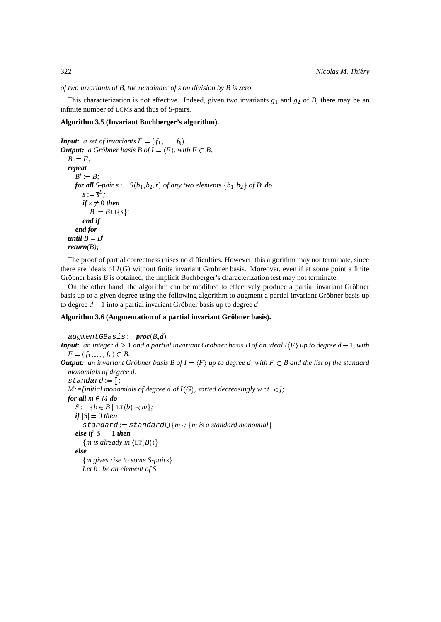*of two invariants of B, the remainder of s on division by B is zero.*

This characterization is not effective. Indeed, given two invariants  $g_1$  and  $g_2$  of *B*, there may be an infinite number of LCMs and thus of S-pairs.

#### **Algorithm 3.5 (Invariant Buchberger's algorithm).**

```
Input: a set of invariants F = (f_1, \ldots, f_k).
Output: a Gröbner basis B of I = \langle F \rangle, with F \subset B.
  B := F;
  repeat
     B' := B:
     for all S-pair s := S(b_1, b_2, r) of any two elements \{b_1, b_2\} of B' do
        s := \overline{s}^B;
        if s \neq 0 then
           B := B \cup \{s\};end if
     end for
  until B = B'return(B);
```
The proof of partial correctness raises no difficulties. However, this algorithm may not terminate, since there are ideals of  $I(G)$  without finite invariant Gröbner basis. Moreover, even if at some point a finite Gröbner basis  $B$  is obtained, the implicit Buchberger's characterization test may not terminate.

On the other hand, the algorithm can be modified to effectively produce a partial invariant Gröbner basis up to a given degree using the following algorithm to augment a partial invariant Gröbner basis up to degree  $d - 1$  into a partial invariant Gröbner basis up to degree d.

#### **Algorithm 3.6 (Augmentation of a partial invariant Grobner ¨ basis).**

```
augmentGBasis := proc(B,d)Input: an integer d \ge 1 and a partial invariant Gröbner basis B of an ideal I\langle F \rangle up to degree d-1, with
   F = (f_1, \ldots, f_n) \subset B.
Output: an invariant Gröbner basis B of I = \langle F \rangle up to degree d, with F \subset B and the list of the standard
  monomials of degree d.
   standard := [];

   M: = [initial monomials of degree d of I(G), sorted decreasingly w.r.t. \lt ];
  for all m \in M do
     S := \{b \in B \mid \text{LT}(b) \prec m\};if |S| = 0 then
        \text{standard} := \text{standard} \cup \{m\}; \{m \} a standard monomial
     else if <math>|S| = 1</math> then\{m \text{ is already in } \langle \text{LT}(B) \rangle\}else
         m gives rise to some S-pairs 
        Let b_1 be an element of S.
```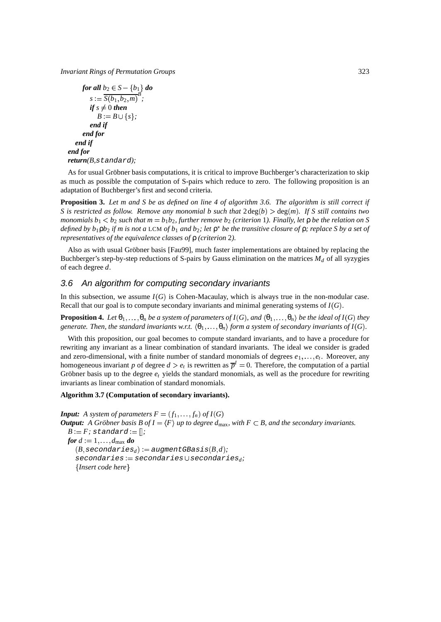*Invariant Rings of Permutation Groups* 323

for all 
$$
b_2 \in S - \{b_1\}
$$
 do  
\n
$$
s := \frac{S(b_1, b_2, m)}{B};
$$
\nif  $s \neq 0$  then  
\n $B := B \cup \{s\};$   
\nend if  
\nend for  
\nend if  
\nend for  
\nreturn(B, standard);

As for usual Gröbner basis computations, it is critical to improve Buchberger's characterization to skip as much as possible the computation of S-pairs which reduce to zero. The following proposition is an adaptation of Buchberger's first and second criteria.

**Proposition 3.** Let  $m$  and  $S$  be as defined on line 4 of algorithm 3.6. The algorithm is still correct if S is restricted as follow. Remove any monomial b such that  $2\deg(b) > \deg(m)$ . If S still contains two monomials  $b_1 < b_2$  such that  $m = b_1b_2$ , further remove  $b_2$  (criterion 1). Finally, let  $\rho$  be the relation on S defined by  $b_1$  $p b_2$  if m is not a LCM of  $b_1$  and  $b_2$ ; let  $p^*$  be the transitive closure of  $p$ ; replace S by a set of *representatives of the equivalence classes of* ρ *(criterion* 2*).*

Also as with usual Gröbner basis [Fau99], much faster implementations are obtained by replacing the Buchberger's step-by-step reductions of S-pairs by Gauss elimination on the matrices  $M_d$  of all syzygies of each degree *d*.

#### 3.6 An algorithm for computing secondary invariants

In this subsection, we assume  $I(G)$  is Cohen-Macaulay, which is always true in the non-modular case. Recall that our goal is to compute secondary invariants and minimal generating systems of  $I(G)$ .

**Proposition 4.** Let  $\theta_1,\ldots,\theta_n$  be a system of parameters of  $I(G)$ , and  $\langle \theta_1,\ldots,\theta_n\rangle$  be the ideal of  $I(G)$  they generate. Then, the standard invariants w.r.t.  $\langle\theta_1,\ldots,\theta_n\rangle$  form a system of secondary invariants of  $I(G)$ .

With this proposition, our goal becomes to compute standard invariants, and to have a procedure for rewriting any invariant as a linear combination of standard invariants. The ideal we consider is graded and zero-dimensional, with a finite number of standard monomials of degrees  $e_1, \ldots, e_t$ . Moreover, any homogeneous invariant *p* of degree  $d > e_t$  is rewritten as  $\overline{p}^I = 0$ . Therefore, the computation of a partial Gröbner basis up to the degree  $e_t$  yields the standard monomials, as well as the procedure for rewriting invariants as linear combination of standard monomials.

#### **Algorithm 3.7 (Computation of secondary invariants).**

*Input: A system of parameters*  $F = (f_1, \ldots, f_n)$  *of*  $I(G)$ **Output:** A Gröbner basis B of  $I = \langle F \rangle$  up to degree  $d_{\text{max}}$ , with  $F \subset B$ , and the secondary invariants.  $B$  :=  $F$ ; standard := []; *; for*  $d := 1, \ldots, d_{\text{max}}$  *do*  $(B, secondaries_d) := augmentGBasis(B,d);$  $secondaries := secondaries \cup secondaries$ ; *Insert code here*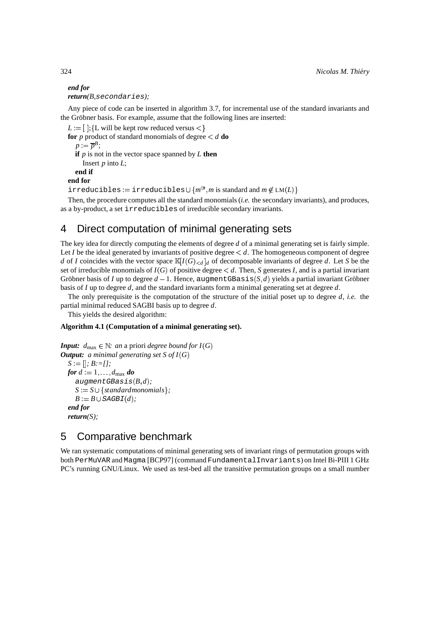```
end for
return(B,secondaries);
```
Any piece of code can be inserted in algorithm 3.7, for incremental use of the standard invariants and the Gröbner basis. For example, assume that the following lines are inserted:

```
L := [~];{L will be kept row reduced versus <}
      . . .
for p product of standard monomials of degree 
d do
  p := \overline{p}^B;if p is not in the vector space spanned by L then
    Insert p into L;
  end if
end for
irreducibles := irreducibles∪ \{m^\circledast,m \text{ is standard and } m \not\in \text{LM}(L)\}
```
Then, the procedure computes all the standard monomials (*i.e.* the secondary invariants), and produces, as a by-product, a set irreducibles of irreducible secondary invariants.

## 4 Direct computation of minimal generating sets

The key idea for directly computing the elements of degree *d* of a minimal generating set is fairly simple. Let *I* be the ideal generated by invariants of positive degree *d*. The homogeneous component of degree *d* of *I* coincides with the vector space  $\mathbb{K}[I(G)_{< d}]_d$  of decomposable invariants of degree *d*. Let *S* be the set of irreducible monomials of  $I(G)$  of positive degree  $\lt d$ . Then, *S* generates *I*, and is a partial invariant Gröbner basis of *I* up to degree  $d-1$ . Hence, augment GBasis  $(S,d)$  yields a partial invariant Gröbner basis of *I* up to degree *d*, and the standard invariants form a minimal generating set at degree *d*.

The only prerequisite is the computation of the structure of the initial poset up to degree *d*, *i.e.* the partial minimal reduced SAGBI basis up to degree *d*.

This yields the desired algorithm:

#### **Algorithm 4.1 (Computation of a minimal generating set).**

```
Input: d_{\text{max}} \in \mathbb{N}: an a priori degree bound for I(G)Output: a minimal generating set S of I(G)S := []; B := [];

; B:=[];
   for d := 1, \ldots, d_{\text{max}} do
     augmentGBasis(B,d);S := S \cup \{standard monomials\};
     B := B \cup SAGBI(d);end for
  return(S);
```
## 5 Comparative benchmark

We ran systematic computations of minimal generating sets of invariant rings of permutation groups with both PerMuVAR and Magma [BCP97] (command FundamentalInvariants) on Intel Bi-PIII 1 GHz PC's running GNU/Linux. We used as test-bed all the transitive permutation groups on a small number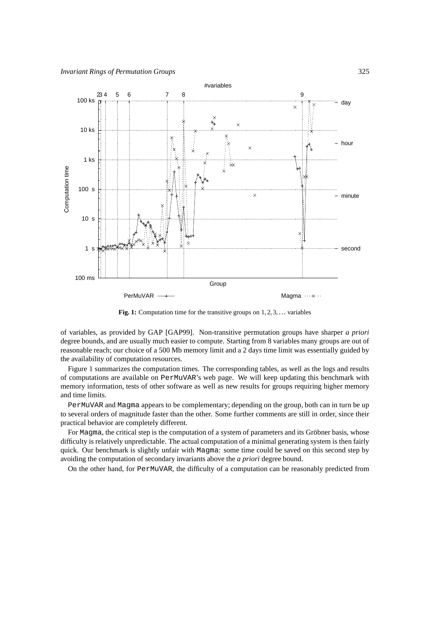

Fig. 1: Computation time for the transitive groups on  $1, 2, 3, \ldots$  variables

of variables, as provided by GAP [GAP99]. Non-transitive permutation groups have sharper *a priori* degree bounds, and are usually much easier to compute. Starting from 8 variables many groups are out of reasonable reach; our choice of a 500 Mb memory limit and a 2 days time limit was essentially guided by the availability of computation resources.

Figure 1 summarizes the computation times. The corresponding tables, as well as the logs and results of computations are available on PerMuVAR's web page. We will keep updating this benchmark with memory information, tests of other software as well as new results for groups requiring higher memory and time limits.

PerMuVAR and Magma appears to be complementary; depending on the group, both can in turn be up to several orders of magnitude faster than the other. Some further comments are still in order, since their practical behavior are completely different.

For Magma, the critical step is the computation of a system of parameters and its Gröbner basis, whose difficulty is relatively unpredictable. The actual computation of a minimal generating system is then fairly quick. Our benchmark is slightly unfair with Magma: some time could be saved on this second step by avoiding the computation of secondary invariants above the *a priori* degree bound.

On the other hand, for PerMuVAR, the difficulty of a computation can be reasonably predicted from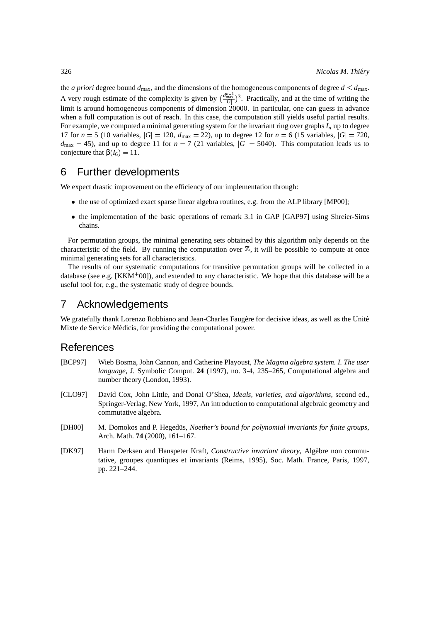the *a priori* degree bound  $d_{\text{max}}$ , and the dimensions of the homogeneous components of degree  $d \leq d_{\text{max}}$ . A very rough estimate of the complexity is given by  $(\frac{d_{max}^{m-1}}{|G|})^3$ . Practically, and at the time of writing the limit is around homogeneous components of dimension 20000. In particular, one can guess in advance when a full computation is out of reach. In this case, the computation still yields useful partial results. For example, we computed a minimal generating system for the invariant ring over graphs *I<sup>n</sup>* up to degree 17 for  $n = 5$  (10 variables,  $|G| = 120$ ,  $d_{\text{max}} = 22$ ), up to degree 12 for  $n = 6$  (15 variables,  $|G| = 720$ ,  $d_{\text{max}} = 45$ ), and up to degree 11 for  $n = 7$  (21 variables,  $|G| = 5040$ ). This computation leads us to conjecture that  $\beta(I_6) = 11$ .

## 6 Further developments

We expect drastic improvement on the efficiency of our implementation through:

- the use of optimized exact sparse linear algebra routines, e.g. from the ALP library [MP00];
- the implementation of the basic operations of remark 3.1 in GAP [GAP97] using Shreier-Sims chains.

For permutation groups, the minimal generating sets obtained by this algorithm only depends on the characteristic of the field. By running the computation over  $\mathbb{Z}$ , it will be possible to compute at once minimal generating sets for all characteristics.

The results of our systematic computations for transitive permutation groups will be collected in a database (see e.g.  $[KKM^+00]$ ), and extended to any characteristic. We hope that this database will be a useful tool for, e.g., the systematic study of degree bounds.

## 7 Acknowledgements

We gratefully thank Lorenzo Robbiano and Jean-Charles Faugère for decisive ideas, as well as the Unité Mixte de Service Médicis, for providing the computational power.

## References

- [BCP97] Wieb Bosma, John Cannon, and Catherine Playoust, *The Magma algebra system. I. The user language*, J. Symbolic Comput. **24** (1997), no. 3-4, 235–265, Computational algebra and number theory (London, 1993).
- [CLO97] David Cox, John Little, and Donal O'Shea, *Ideals, varieties, and algorithms*, second ed., Springer-Verlag, New York, 1997, An introduction to computational algebraic geometry and commutative algebra.
- [DH00] M. Domokos and P. Hegedüs, *Noether's bound for polynomial invariants for finite groups*, Arch. Math. **74** (2000), 161–167.
- [DK97] Harm Derksen and Hanspeter Kraft, *Constructive invariant theory*, Algèbre non commutative, groupes quantiques et invariants (Reims, 1995), Soc. Math. France, Paris, 1997, pp. 221–244.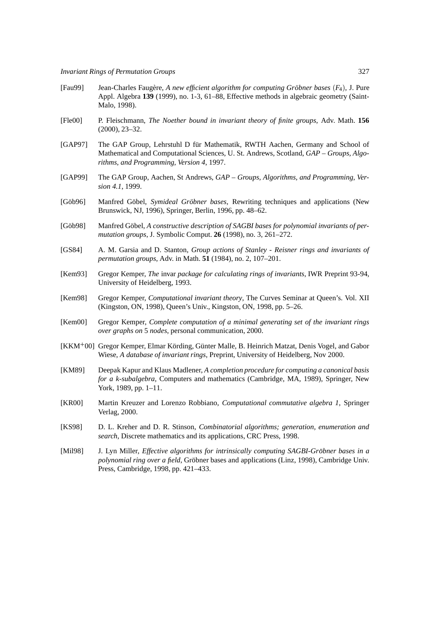- [Fau99] Jean-Charles Faugere, ` *A new efficient algorithm for computing Grobner ¨ bases F*<sup>4</sup> , J. Pure Appl. Algebra **139** (1999), no. 1-3, 61–88, Effective methods in algebraic geometry (Saint-Malo, 1998).
- [Fle00] P. Fleischmann, *The Noether bound in invariant theory of finite groups*, Adv. Math. **156** (2000), 23–32.
- [GAP97] The GAP Group, Lehrstuhl D für Mathematik, RWTH Aachen, Germany and School of Mathematical and Computational Sciences, U. St. Andrews, Scotland, *GAP – Groups, Algorithms, and Programming, Version 4*, 1997.
- [GAP99] The GAP Group, Aachen, St Andrews, *GAP – Groups, Algorithms, and Programming, Version 4.1*, 1999.
- [Göb96] Manfred Göbel, *Symideal Gröbner bases*, Rewriting techniques and applications (New Brunswick, NJ, 1996), Springer, Berlin, 1996, pp. 48–62.
- [Göb98] Manfred Göbel, A constructive description of SAGBI bases for polynomial invariants of per*mutation groups*, J. Symbolic Comput. **26** (1998), no. 3, 261–272.
- [GS84] A. M. Garsia and D. Stanton, *Group actions of Stanley - Reisner rings and invariants of permutation groups*, Adv. in Math. **51** (1984), no. 2, 107–201.
- [Kem93] Gregor Kemper, *The* invar *package for calculating rings of invariants*, IWR Preprint 93-94, University of Heidelberg, 1993.
- [Kem98] Gregor Kemper, *Computational invariant theory*, The Curves Seminar at Queen's. Vol. XII (Kingston, ON, 1998), Queen's Univ., Kingston, ON, 1998, pp. 5–26.
- [Kem00] Gregor Kemper, *Complete computation of a minimal generating set of the invariant rings over graphs on* 5 *nodes*, personal communication, 2000.
- [KKM+00] Gregor Kemper, Elmar Körding, Günter Malle, B. Heinrich Matzat, Denis Vogel, and Gabor Wiese, *A database of invariant rings*, Preprint, University of Heidelberg, Nov 2000.
- [KM89] Deepak Kapur and Klaus Madlener, *A completion procedure for computing a canonical basis for a k-subalgebra*, Computers and mathematics (Cambridge, MA, 1989), Springer, New York, 1989, pp. 1–11.
- [KR00] Martin Kreuzer and Lorenzo Robbiano, *Computational commutative algebra 1*, Springer Verlag, 2000.
- [KS98] D. L. Kreher and D. R. Stinson, *Combinatorial algorithms; generation, enumeration and search*, Discrete mathematics and its applications, CRC Press, 1998.
- [Mil98] J. Lyn Miller, *Effective algorithms for intrinsically computing SAGBI-Gröbner bases in a polynomial ring over a field*, Gröbner bases and applications (Linz, 1998), Cambridge Univ. Press, Cambridge, 1998, pp. 421–433.